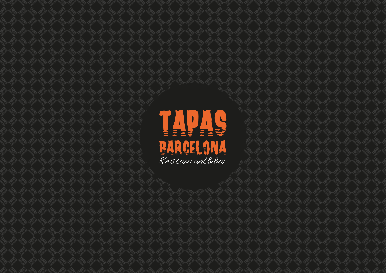